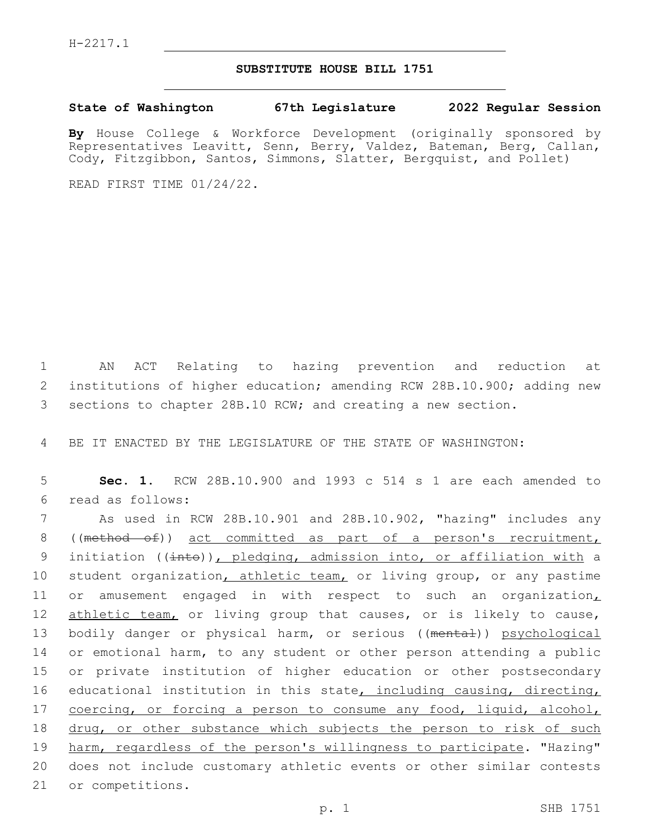## **SUBSTITUTE HOUSE BILL 1751**

## **State of Washington 67th Legislature 2022 Regular Session**

**By** House College & Workforce Development (originally sponsored by Representatives Leavitt, Senn, Berry, Valdez, Bateman, Berg, Callan, Cody, Fitzgibbon, Santos, Simmons, Slatter, Bergquist, and Pollet)

READ FIRST TIME 01/24/22.

1 AN ACT Relating to hazing prevention and reduction at 2 institutions of higher education; amending RCW 28B.10.900; adding new 3 sections to chapter 28B.10 RCW; and creating a new section.

4 BE IT ENACTED BY THE LEGISLATURE OF THE STATE OF WASHINGTON:

5 **Sec. 1.** RCW 28B.10.900 and 1993 c 514 s 1 are each amended to read as follows:6

7 As used in RCW 28B.10.901 and 28B.10.902, "hazing" includes any 8 ((method of)) act committed as part of a person's recruitment, 9 initiation ((into)), pledging, admission into, or affiliation with a 10 student organization, athletic team, or living group, or any pastime 11 or amusement engaged in with respect to such an organization, 12 athletic team, or living group that causes, or is likely to cause, 13 bodily danger or physical harm, or serious ((mental)) psychological 14 or emotional harm, to any student or other person attending a public 15 or private institution of higher education or other postsecondary 16 educational institution in this state, including causing, directing, 17 coercing, or forcing a person to consume any food, liquid, alcohol, 18 drug, or other substance which subjects the person to risk of such 19 harm, regardless of the person's willingness to participate. "Hazing" 20 does not include customary athletic events or other similar contests 21 or competitions.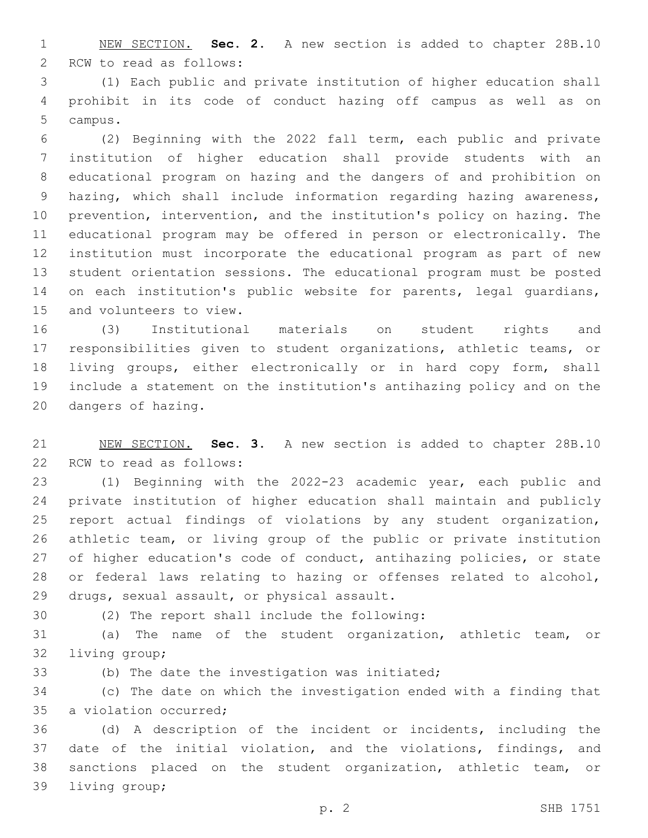NEW SECTION. **Sec. 2.** A new section is added to chapter 28B.10 2 RCW to read as follows:

 (1) Each public and private institution of higher education shall prohibit in its code of conduct hazing off campus as well as on 5 campus.

 (2) Beginning with the 2022 fall term, each public and private institution of higher education shall provide students with an educational program on hazing and the dangers of and prohibition on hazing, which shall include information regarding hazing awareness, prevention, intervention, and the institution's policy on hazing. The educational program may be offered in person or electronically. The institution must incorporate the educational program as part of new student orientation sessions. The educational program must be posted 14 on each institution's public website for parents, legal quardians, 15 and volunteers to view.

 (3) Institutional materials on student rights and responsibilities given to student organizations, athletic teams, or living groups, either electronically or in hard copy form, shall include a statement on the institution's antihazing policy and on the 20 dangers of hazing.

 NEW SECTION. **Sec. 3.** A new section is added to chapter 28B.10 22 RCW to read as follows:

 (1) Beginning with the 2022-23 academic year, each public and private institution of higher education shall maintain and publicly report actual findings of violations by any student organization, athletic team, or living group of the public or private institution 27 of higher education's code of conduct, antihazing policies, or state or federal laws relating to hazing or offenses related to alcohol, 29 drugs, sexual assault, or physical assault.

(2) The report shall include the following:30

 (a) The name of the student organization, athletic team, or 32 living group;

33 (b) The date the investigation was initiated;

 (c) The date on which the investigation ended with a finding that 35 a violation occurred;

 (d) A description of the incident or incidents, including the date of the initial violation, and the violations, findings, and sanctions placed on the student organization, athletic team, or 39 living group;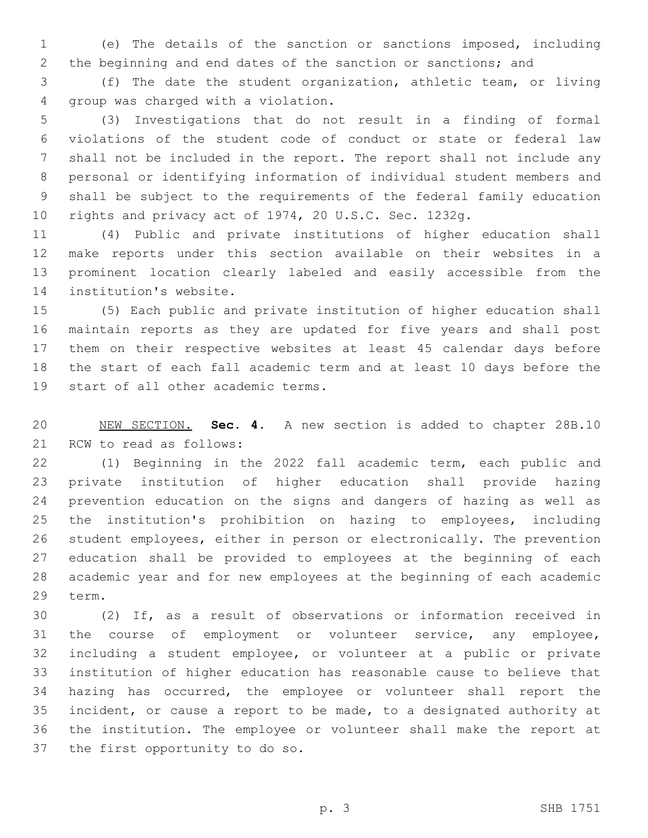(e) The details of the sanction or sanctions imposed, including the beginning and end dates of the sanction or sanctions; and

 (f) The date the student organization, athletic team, or living 4 group was charged with a violation.

 (3) Investigations that do not result in a finding of formal violations of the student code of conduct or state or federal law shall not be included in the report. The report shall not include any personal or identifying information of individual student members and shall be subject to the requirements of the federal family education rights and privacy act of 1974, 20 U.S.C. Sec. 1232g.

 (4) Public and private institutions of higher education shall make reports under this section available on their websites in a prominent location clearly labeled and easily accessible from the 14 institution's website.

 (5) Each public and private institution of higher education shall maintain reports as they are updated for five years and shall post them on their respective websites at least 45 calendar days before the start of each fall academic term and at least 10 days before the 19 start of all other academic terms.

 NEW SECTION. **Sec. 4.** A new section is added to chapter 28B.10 21 RCW to read as follows:

 (1) Beginning in the 2022 fall academic term, each public and private institution of higher education shall provide hazing prevention education on the signs and dangers of hazing as well as the institution's prohibition on hazing to employees, including student employees, either in person or electronically. The prevention education shall be provided to employees at the beginning of each academic year and for new employees at the beginning of each academic 29 term.

 (2) If, as a result of observations or information received in 31 the course of employment or volunteer service, any employee, including a student employee, or volunteer at a public or private institution of higher education has reasonable cause to believe that hazing has occurred, the employee or volunteer shall report the incident, or cause a report to be made, to a designated authority at the institution. The employee or volunteer shall make the report at 37 the first opportunity to do so.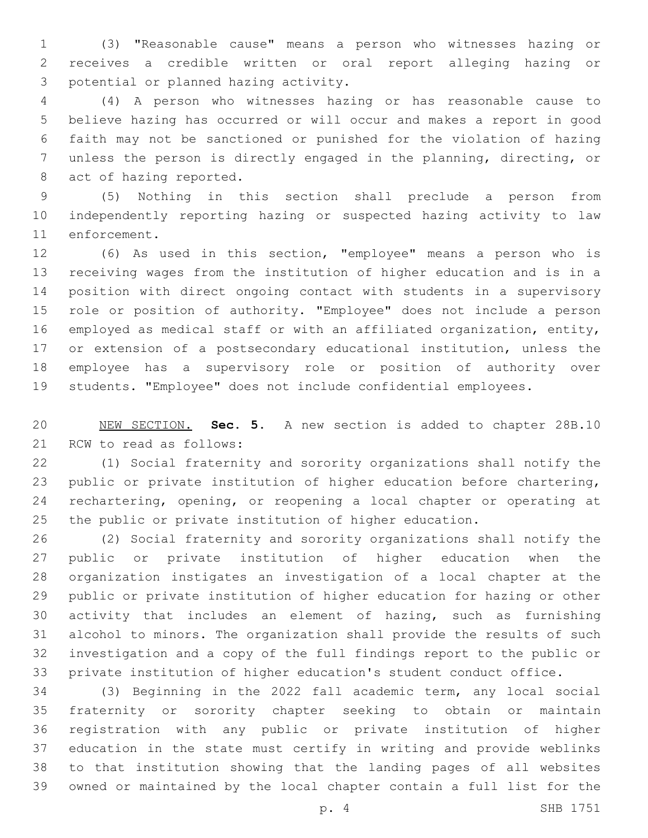(3) "Reasonable cause" means a person who witnesses hazing or receives a credible written or oral report alleging hazing or 3 potential or planned hazing activity.

 (4) A person who witnesses hazing or has reasonable cause to believe hazing has occurred or will occur and makes a report in good faith may not be sanctioned or punished for the violation of hazing unless the person is directly engaged in the planning, directing, or 8 act of hazing reported.

 (5) Nothing in this section shall preclude a person from independently reporting hazing or suspected hazing activity to law 11 enforcement.

 (6) As used in this section, "employee" means a person who is receiving wages from the institution of higher education and is in a position with direct ongoing contact with students in a supervisory role or position of authority. "Employee" does not include a person employed as medical staff or with an affiliated organization, entity, or extension of a postsecondary educational institution, unless the employee has a supervisory role or position of authority over students. "Employee" does not include confidential employees.

 NEW SECTION. **Sec. 5.** A new section is added to chapter 28B.10 21 RCW to read as follows:

 (1) Social fraternity and sorority organizations shall notify the public or private institution of higher education before chartering, rechartering, opening, or reopening a local chapter or operating at the public or private institution of higher education.

 (2) Social fraternity and sorority organizations shall notify the public or private institution of higher education when the organization instigates an investigation of a local chapter at the public or private institution of higher education for hazing or other activity that includes an element of hazing, such as furnishing alcohol to minors. The organization shall provide the results of such investigation and a copy of the full findings report to the public or private institution of higher education's student conduct office.

 (3) Beginning in the 2022 fall academic term, any local social fraternity or sorority chapter seeking to obtain or maintain registration with any public or private institution of higher education in the state must certify in writing and provide weblinks to that institution showing that the landing pages of all websites owned or maintained by the local chapter contain a full list for the